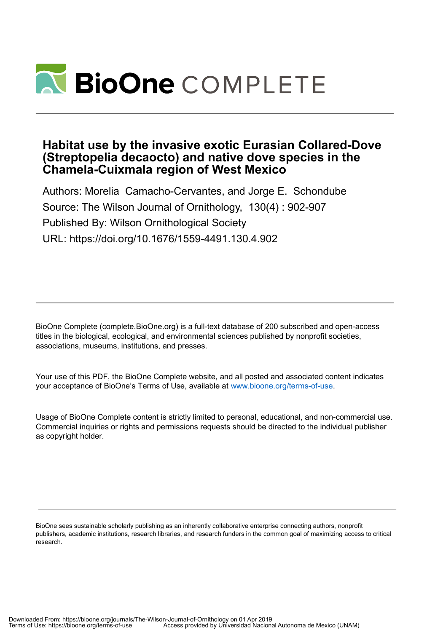

# **Habitat use by the invasive exotic Eurasian Collared-Dove (Streptopelia decaocto) and native dove species in the Chamela-Cuixmala region of West Mexico**

Authors: Morelia Camacho-Cervantes, and Jorge E. Schondube Source: The Wilson Journal of Ornithology, 130(4) : 902-907 Published By: Wilson Ornithological Society URL: https://doi.org/10.1676/1559-4491.130.4.902

BioOne Complete (complete.BioOne.org) is a full-text database of 200 subscribed and open-access titles in the biological, ecological, and environmental sciences published by nonprofit societies, associations, museums, institutions, and presses.

Your use of this PDF, the BioOne Complete website, and all posted and associated content indicates your acceptance of BioOne's Terms of Use, available at www.bioone.org/terms-of-use.

Usage of BioOne Complete content is strictly limited to personal, educational, and non-commercial use. Commercial inquiries or rights and permissions requests should be directed to the individual publisher as copyright holder.

BioOne sees sustainable scholarly publishing as an inherently collaborative enterprise connecting authors, nonprofit publishers, academic institutions, research libraries, and research funders in the common goal of maximizing access to critical research.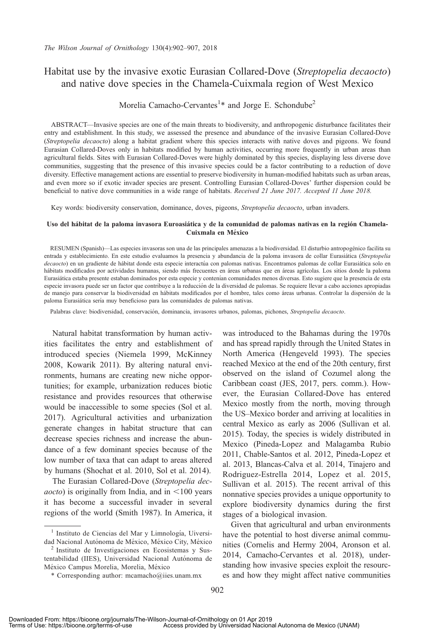# Habitat use by the invasive exotic Eurasian Collared-Dove (Streptopelia decaocto) and native dove species in the Chamela-Cuixmala region of West Mexico

## Morelia Camacho-Cervantes<sup>1</sup>\* and Jorge E. Schondube<sup>2</sup>

ABSTRACT—Invasive species are one of the main threats to biodiversity, and anthropogenic disturbance facilitates their entry and establishment. In this study, we assessed the presence and abundance of the invasive Eurasian Collared-Dove (Streptopelia decaocto) along a habitat gradient where this species interacts with native doves and pigeons. We found Eurasian Collared-Doves only in habitats modified by human activities, occurring more frequently in urban areas than agricultural fields. Sites with Eurasian Collared-Doves were highly dominated by this species, displaying less diverse dove communities, suggesting that the presence of this invasive species could be a factor contributing to a reduction of dove diversity. Effective management actions are essential to preserve biodiversity in human-modified habitats such as urban areas, and even more so if exotic invader species are present. Controlling Eurasian Collared-Doves' further dispersion could be beneficial to native dove communities in a wide range of habitats. Received 21 June 2017. Accepted 11 June 2018.

Key words: biodiversity conservation, dominance, doves, pigeons, Streptopelia decaocto, urban invaders.

#### Uso del hábitat de la paloma invasora Euroasiática y de la comunidad de palomas nativas en la región Chamela-Cuixmala en México

RESUMEN (Spanish)—Las especies invasoras son una de las principales amenazas a la biodiversidad. El disturbio antropogenico facilita su ´ entrada y establecimiento. En este estudio evaluamos la presencia y abundancia de la paloma invasora de collar Eurasiática (Streptopelia decaocto) en un gradiente de hábitat donde esta especie interactúa con palomas nativas. Encontramos palomas de collar Eurasiática solo en hábitats modificados por actividades humanas, siendo más frecuentes en áreas urbanas que en áreas agrícolas. Los sitios donde la paloma Eurasiática estaba presente estaban dominados por esta especie y contenían comunidades menos diversas. Esto sugiere que la presencia de esta especie invasora puede ser un factor que contribuye a la reduccion de la diversidad de palomas. Se requiere llevar a cabo acciones apropiadas ´ de manejo para conservar la biodiversidad en hábitats modificados por el hombre, tales como áreas urbanas. Controlar la dispersión de la paloma Eurasiática sería muy beneficioso para las comunidades de palomas nativas.

Palabras clave: biodiversidad, conservación, dominancia, invasores urbanos, palomas, pichones, Streptopelia decaocto.

Natural habitat transformation by human activities facilitates the entry and establishment of introduced species (Niemela 1999, McKinney 2008, Kowarik 2011). By altering natural environments, humans are creating new niche opportunities; for example, urbanization reduces biotic resistance and provides resources that otherwise would be inaccessible to some species (Sol et al. 2017). Agricultural activities and urbanization generate changes in habitat structure that can decrease species richness and increase the abundance of a few dominant species because of the low number of taxa that can adapt to areas altered by humans (Shochat et al. 2010, Sol et al. 2014).

The Eurasian Collared-Dove (Streptopelia dec*aocto*) is originally from India, and in  $\leq 100$  years it has become a successful invader in several regions of the world (Smith 1987). In America, it

was introduced to the Bahamas during the 1970s and has spread rapidly through the United States in North America (Hengeveld 1993). The species reached Mexico at the end of the 20th century, first observed on the island of Cozumel along the Caribbean coast (JES, 2017, pers. comm.). However, the Eurasian Collared-Dove has entered Mexico mostly from the north, moving through the US–Mexico border and arriving at localities in central Mexico as early as 2006 (Sullivan et al. 2015). Today, the species is widely distributed in Mexico (Pineda-Lopez and Malagamba Rubio 2011, Chable-Santos et al. 2012, Pineda-Lopez et al. 2013, Blancas-Calva et al. 2014, Tinajero and Rodriguez-Estrella 2014, Lopez et al. 2015, Sullivan et al. 2015). The recent arrival of this nonnative species provides a unique opportunity to explore biodiversity dynamics during the first stages of a biological invasion.

Given that agricultural and urban environments have the potential to host diverse animal communities (Cornelis and Hermy 2004, Aronson et al. 2014, Camacho-Cervantes et al. 2018), understanding how invasive species exploit the resources and how they might affect native communities

<sup>&</sup>lt;sup>1</sup> Instituto de Ciencias del Mar y Limnología, Uiversi-

dad Nacional Autónoma de México, México City, México <sup>2</sup> Instituto de Investigaciones en Ecosistemas y Sustentabilidad (IIES), Universidad Nacional Autónoma de

México Campus Morelia, Morelia, México \* Corresponding author: mcamacho@iies.unam.mx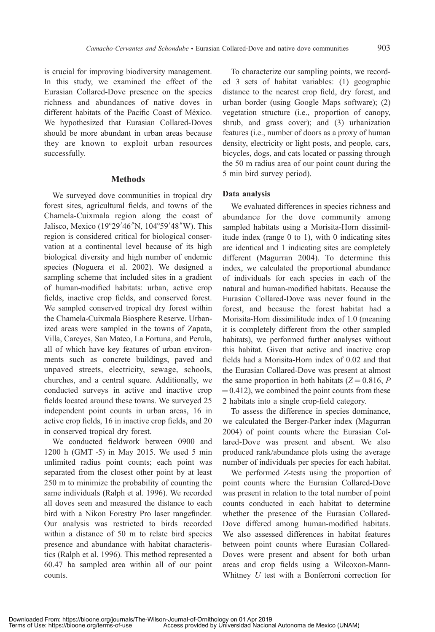is crucial for improving biodiversity management. In this study, we examined the effect of the Eurasian Collared-Dove presence on the species richness and abundances of native doves in different habitats of the Pacific Coast of México. We hypothesized that Eurasian Collared-Doves should be more abundant in urban areas because they are known to exploit urban resources successfully.

### **Methods**

We surveyed dove communities in tropical dry forest sites, agricultural fields, and towns of the Chamela-Cuixmala region along the coast of Jalisco, Mexico (19°29'46"N, 104°59'48"W). This region is considered critical for biological conservation at a continental level because of its high biological diversity and high number of endemic species (Noguera et al. 2002). We designed a sampling scheme that included sites in a gradient of human-modified habitats: urban, active crop fields, inactive crop fields, and conserved forest. We sampled conserved tropical dry forest within the Chamela-Cuixmala Biosphere Reserve. Urbanized areas were sampled in the towns of Zapata, Villa, Careyes, San Mateo, La Fortuna, and Perula, all of which have key features of urban environments such as concrete buildings, paved and unpaved streets, electricity, sewage, schools, churches, and a central square. Additionally, we conducted surveys in active and inactive crop fields located around these towns. We surveyed 25 independent point counts in urban areas, 16 in active crop fields, 16 in inactive crop fields, and 20 in conserved tropical dry forest.

We conducted fieldwork between 0900 and 1200 h (GMT -5) in May 2015. We used 5 min unlimited radius point counts; each point was separated from the closest other point by at least 250 m to minimize the probability of counting the same individuals (Ralph et al. 1996). We recorded all doves seen and measured the distance to each bird with a Nikon Forestry Pro laser rangefinder. Our analysis was restricted to birds recorded within a distance of 50 m to relate bird species presence and abundance with habitat characteristics (Ralph et al. 1996). This method represented a 60.47 ha sampled area within all of our point counts.

To characterize our sampling points, we recorded 3 sets of habitat variables: (1) geographic distance to the nearest crop field, dry forest, and urban border (using Google Maps software); (2) vegetation structure (i.e., proportion of canopy, shrub, and grass cover); and (3) urbanization features (i.e., number of doors as a proxy of human density, electricity or light posts, and people, cars, bicycles, dogs, and cats located or passing through the 50 m radius area of our point count during the 5 min bird survey period).

### Data analysis

We evaluated differences in species richness and abundance for the dove community among sampled habitats using a Morisita-Horn dissimilitude index (range 0 to 1), with 0 indicating sites are identical and 1 indicating sites are completely different (Magurran 2004). To determine this index, we calculated the proportional abundance of individuals for each species in each of the natural and human-modified habitats. Because the Eurasian Collared-Dove was never found in the forest, and because the forest habitat had a Morisita-Horn dissimilitude index of 1.0 (meaning it is completely different from the other sampled habitats), we performed further analyses without this habitat. Given that active and inactive crop fields had a Morisita-Horn index of 0.02 and that the Eurasian Collared-Dove was present at almost the same proportion in both habitats  $(Z = 0.816, P)$  $(0.412)$ , we combined the point counts from these 2 habitats into a single crop-field category.

To assess the difference in species dominance, we calculated the Berger-Parker index (Magurran 2004) of point counts where the Eurasian Collared-Dove was present and absent. We also produced rank/abundance plots using the average number of individuals per species for each habitat.

We performed Z-tests using the proportion of point counts where the Eurasian Collared-Dove was present in relation to the total number of point counts conducted in each habitat to determine whether the presence of the Eurasian Collared-Dove differed among human-modified habitats. We also assessed differences in habitat features between point counts where Eurasian Collared-Doves were present and absent for both urban areas and crop fields using a Wilcoxon-Mann-Whitney U test with a Bonferroni correction for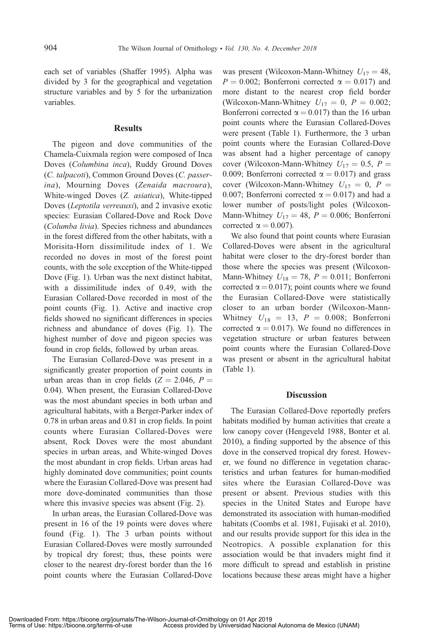each set of variables (Shaffer 1995). Alpha was divided by 3 for the geographical and vegetation structure variables and by 5 for the urbanization variables.

#### **Results**

The pigeon and dove communities of the Chamela-Cuixmala region were composed of Inca Doves (Columbina inca), Ruddy Ground Doves (C. talpacoti), Common Ground Doves (C. passerina), Mourning Doves (Zenaida macroura), White-winged Doves (Z. asiatica), White-tipped Doves (Leptotila verreauxi), and 2 invasive exotic species: Eurasian Collared-Dove and Rock Dove (Columba livia). Species richness and abundances in the forest differed from the other habitats, with a Morisita-Horn dissimilitude index of 1. We recorded no doves in most of the forest point counts, with the sole exception of the White-tipped Dove (Fig. 1). Urban was the next distinct habitat, with a dissimilitude index of 0.49, with the Eurasian Collared-Dove recorded in most of the point counts (Fig. 1). Active and inactive crop fields showed no significant differences in species richness and abundance of doves (Fig. 1). The highest number of dove and pigeon species was found in crop fields, followed by urban areas.

The Eurasian Collared-Dove was present in a significantly greater proportion of point counts in urban areas than in crop fields  $(Z = 2.046, P =$ 0.04). When present, the Eurasian Collared-Dove was the most abundant species in both urban and agricultural habitats, with a Berger-Parker index of 0.78 in urban areas and 0.81 in crop fields. In point counts where Eurasian Collared-Doves were absent, Rock Doves were the most abundant species in urban areas, and White-winged Doves the most abundant in crop fields. Urban areas had highly dominated dove communities; point counts where the Eurasian Collared-Dove was present had more dove-dominated communities than those where this invasive species was absent (Fig. 2).

In urban areas, the Eurasian Collared-Dove was present in 16 of the 19 points were doves where found (Fig. 1). The 3 urban points without Eurasian Collared-Doves were mostly surrounded by tropical dry forest; thus, these points were closer to the nearest dry-forest border than the 16 point counts where the Eurasian Collared-Dove

was present (Wilcoxon-Mann-Whitney  $U_{17} = 48$ ,  $P = 0.002$ ; Bonferroni corrected  $\alpha = 0.017$ ) and more distant to the nearest crop field border (Wilcoxon-Mann-Whitney  $U_{17} = 0$ ,  $P = 0.002$ ; Bonferroni corrected  $\alpha = 0.017$ ) than the 16 urban point counts where the Eurasian Collared-Doves were present (Table 1). Furthermore, the 3 urban point counts where the Eurasian Collared-Dove was absent had a higher percentage of canopy cover (Wilcoxon-Mann-Whitney  $U_{17} = 0.5$ ,  $P =$ 0.009; Bonferroni corrected  $\alpha = 0.017$ ) and grass cover (Wilcoxon-Mann-Whitney  $U_{17} = 0$ ,  $P =$ 0.007; Bonferroni corrected  $\alpha = 0.017$ ) and had a lower number of posts/light poles (Wilcoxon-Mann-Whitney  $U_{17} = 48$ ,  $P = 0.006$ ; Bonferroni corrected  $\alpha = 0.007$ ).

We also found that point counts where Eurasian Collared-Doves were absent in the agricultural habitat were closer to the dry-forest border than those where the species was present (Wilcoxon-Mann-Whitney  $U_{18} = 78$ ,  $P = 0.011$ ; Bonferroni corrected  $\alpha = 0.017$ ; point counts where we found the Eurasian Collared-Dove were statistically closer to an urban border (Wilcoxon-Mann-Whitney  $U_{18} = 13$ ,  $P = 0.008$ ; Bonferroni corrected  $\alpha = 0.017$ ). We found no differences in vegetation structure or urban features between point counts where the Eurasian Collared-Dove was present or absent in the agricultural habitat (Table 1).

#### Discussion

The Eurasian Collared-Dove reportedly prefers habitats modified by human activities that create a low canopy cover (Hengeveld 1988, Bonter et al. 2010), a finding supported by the absence of this dove in the conserved tropical dry forest. However, we found no difference in vegetation characteristics and urban features for human-modified sites where the Eurasian Collared-Dove was present or absent. Previous studies with this species in the United States and Europe have demonstrated its association with human-modified habitats (Coombs et al. 1981, Fujisaki et al. 2010), and our results provide support for this idea in the Neotropics. A possible explanation for this association would be that invaders might find it more difficult to spread and establish in pristine locations because these areas might have a higher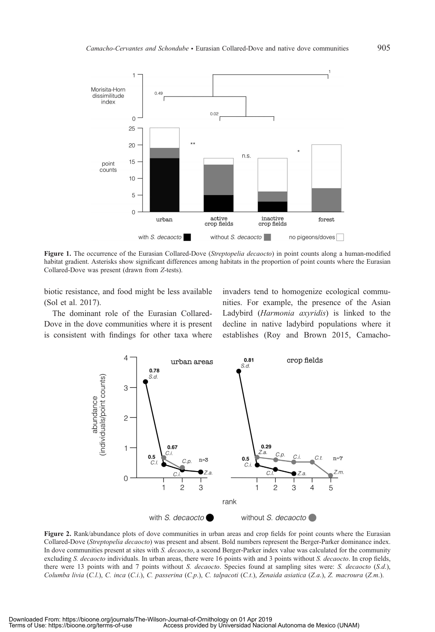

Figure 1. The occurrence of the Eurasian Collared-Dove (Streptopelia decaocto) in point counts along a human-modified habitat gradient. Asterisks show significant differences among habitats in the proportion of point counts where the Eurasian Collared-Dove was present (drawn from Z-tests).

biotic resistance, and food might be less available (Sol et al. 2017).

The dominant role of the Eurasian Collared-Dove in the dove communities where it is present is consistent with findings for other taxa where

invaders tend to homogenize ecological communities. For example, the presence of the Asian Ladybird (Harmonia axyridis) is linked to the decline in native ladybird populations where it establishes (Roy and Brown 2015, Camacho-



Figure 2. Rank/abundance plots of dove communities in urban areas and crop fields for point counts where the Eurasian Collared-Dove (Streptopelia decaocto) was present and absent. Bold numbers represent the Berger-Parker dominance index. In dove communities present at sites with S. decaocto, a second Berger-Parker index value was calculated for the community excluding S. decaocto individuals. In urban areas, there were 16 points with and 3 points without S. decaocto. In crop fields, there were 13 points with and 7 points without S. decaocto. Species found at sampling sites were: S. decaocto (S.d.), Columba livia (C.l.), C. inca (C.i.), C. passerina (C.p.), C. talpacoti (C.t.), Zenaida asiatica (Z.a.), Z. macroura (Z.m.).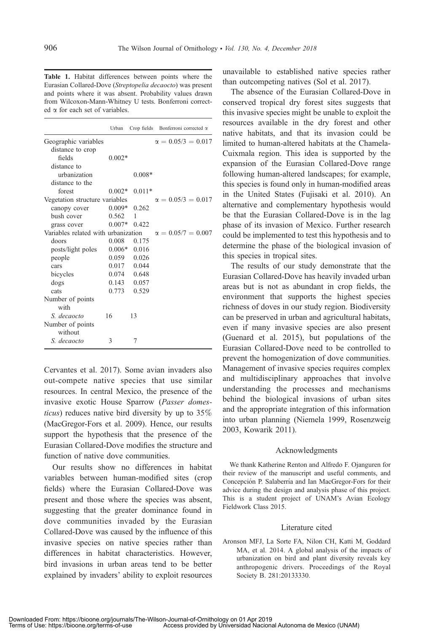Table 1. Habitat differences between points where the Eurasian Collared-Dove (Streptopelia decaocto) was present and points where it was absent. Probability values drawn from Wilcoxon-Mann-Whitney U tests. Bonferroni corrected a for each set of variables.

|                                     | Urban    | Crop fields | Bonferroni corrected $\alpha$ |
|-------------------------------------|----------|-------------|-------------------------------|
| Geographic variables                |          |             | $\alpha = 0.05/3 = 0.017$     |
| distance to crop                    |          |             |                               |
| fields                              | $0.002*$ |             |                               |
| distance to                         |          |             |                               |
| urhanization                        |          | $0.008*$    |                               |
| distance to the                     |          |             |                               |
| forest                              | $0.002*$ | $0.011*$    |                               |
| Vegetation structure variables      |          |             | $\alpha = 0.05/3 = 0.017$     |
| canopy cover                        | $0.009*$ | 0.262       |                               |
| bush cover                          | 0.562    | 1           |                               |
| grass cover                         | $0.007*$ | 0.422       |                               |
| Variables related with urbanization |          |             | $\alpha = 0.05/7 = 0.007$     |
| doors                               | 0.008    | 0.175       |                               |
| posts/light poles                   | $0.006*$ | 0.016       |                               |
| people                              | 0.059    | 0.026       |                               |
| cars                                | 0.017    | 0.044       |                               |
| bicycles                            | 0.074    | 0.648       |                               |
| dogs                                | 0.143    | 0.057       |                               |
| cats                                | 0.773    | 0.529       |                               |
| Number of points                    |          |             |                               |
| with                                |          |             |                               |
| S. decaocto                         | 16       | 13          |                               |
| Number of points<br>without         |          |             |                               |
| S. decaocto                         | 3        | 7           |                               |

Cervantes et al. 2017). Some avian invaders also out-compete native species that use similar resources. In central Mexico, the presence of the invasive exotic House Sparrow (Passer domesticus) reduces native bird diversity by up to 35% (MacGregor-Fors et al. 2009). Hence, our results support the hypothesis that the presence of the Eurasian Collared-Dove modifies the structure and function of native dove communities.

Our results show no differences in habitat variables between human-modified sites (crop fields) where the Eurasian Collared-Dove was present and those where the species was absent, suggesting that the greater dominance found in dove communities invaded by the Eurasian Collared-Dove was caused by the influence of this invasive species on native species rather than differences in habitat characteristics. However, bird invasions in urban areas tend to be better explained by invaders' ability to exploit resources

unavailable to established native species rather than outcompeting natives (Sol et al. 2017).

The absence of the Eurasian Collared-Dove in conserved tropical dry forest sites suggests that this invasive species might be unable to exploit the resources available in the dry forest and other native habitats, and that its invasion could be limited to human-altered habitats at the Chamela-Cuixmala region. This idea is supported by the expansion of the Eurasian Collared-Dove range following human-altered landscapes; for example, this species is found only in human-modified areas in the United States (Fujisaki et al. 2010). An alternative and complementary hypothesis would be that the Eurasian Collared-Dove is in the lag phase of its invasion of Mexico. Further research could be implemented to test this hypothesis and to determine the phase of the biological invasion of this species in tropical sites.

The results of our study demonstrate that the Eurasian Collared-Dove has heavily invaded urban areas but is not as abundant in crop fields, the environment that supports the highest species richness of doves in our study region. Biodiversity can be preserved in urban and agricultural habitats, even if many invasive species are also present (Guenard et al. 2015), but populations of the Eurasian Collared-Dove need to be controlled to prevent the homogenization of dove communities. Management of invasive species requires complex and multidisciplinary approaches that involve understanding the processes and mechanisms behind the biological invasions of urban sites and the appropriate integration of this information into urban planning (Niemela 1999, Rosenzweig 2003, Kowarik 2011).

#### Acknowledgments

We thank Katherine Renton and Alfredo F. Ojanguren for their review of the manuscript and useful comments, and Concepción P. Salaberría and Ian MacGregor-Fors for their advice during the design and analysis phase of this project. This is a student project of UNAM's Avian Ecology Fieldwork Class 2015.

#### Literature cited

Aronson MFJ, La Sorte FA, Nilon CH, Katti M, Goddard MA, et al. 2014. A global analysis of the impacts of urbanization on bird and plant diversity reveals key anthropogenic drivers. Proceedings of the Royal Society B. 281:20133330.